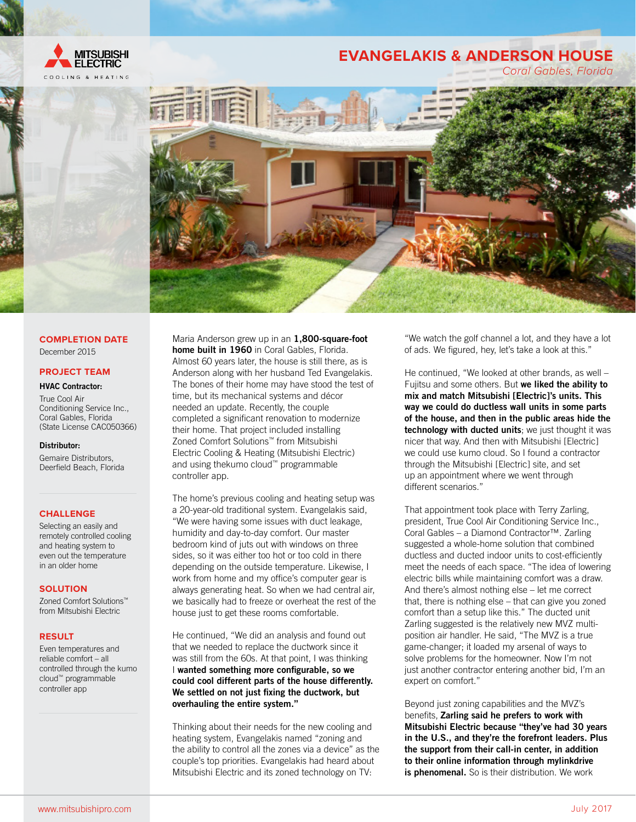

# **EVANGELAKIS & ANDERSON HOUSE**



# **COMPLETION DATE** December 2015

## **PROJECT TEAM**

#### HVAC Contractor:

True Cool Air Conditioning Service Inc., Coral Gables, Florida (State License CAC050366)

## Distributor:

Gemaire Distributors, Deerfield Beach, Florida

# **CHALLENGE**

Selecting an easily and remotely controlled cooling and heating system to even out the temperature in an older home

#### **SOLUTION**

Zoned Comfort Solutions™ from Mitsubishi Electric

#### **RESULT**

Even temperatures and reliable comfort – all controlled through the kumo cloud™ programmable controller app

Maria Anderson grew up in an 1,800-square-foot home built in 1960 in Coral Gables, Florida. Almost 60 years later, the house is still there, as is Anderson along with her husband Ted Evangelakis. The bones of their home may have stood the test of time, but its mechanical systems and décor needed an update. Recently, the couple completed a significant renovation to modernize their home. That project included installing Zoned Comfort Solutions™ from Mitsubishi Electric Cooling & Heating (Mitsubishi Electric) and using thekumo cloud™ programmable controller app.

The home's previous cooling and heating setup was a 20-year-old traditional system. Evangelakis said, "We were having some issues with duct leakage, humidity and day-to-day comfort. Our master bedroom kind of juts out with windows on three sides, so it was either too hot or too cold in there depending on the outside temperature. Likewise, I work from home and my office's computer gear is always generating heat. So when we had central air, we basically had to freeze or overheat the rest of the house just to get these rooms comfortable.

He continued, "We did an analysis and found out that we needed to replace the ductwork since it was still from the 60s. At that point, I was thinking I wanted something more configurable, so we could cool different parts of the house differently. We settled on not just fixing the ductwork, but overhauling the entire system."

Thinking about their needs for the new cooling and heating system, Evangelakis named "zoning and the ability to control all the zones via a device" as the couple's top priorities. Evangelakis had heard about Mitsubishi Electric and its zoned technology on TV:

"We watch the golf channel a lot, and they have a lot of ads. We figured, hey, let's take a look at this."

He continued, "We looked at other brands, as well – Fujitsu and some others. But we liked the ability to mix and match Mitsubishi [Electric]'s units. This way we could do ductless wall units in some parts of the house, and then in the public areas hide the technology with ducted units; we just thought it was nicer that way. And then with Mitsubishi [Electric] we could use kumo cloud. So I found a contractor through the Mitsubishi [Electric] site, and set up an appointment where we went through different scenarios."

That appointment took place with Terry Zarling, president, True Cool Air Conditioning Service Inc., Coral Gables – a Diamond Contractor™. Zarling suggested a whole-home solution that combined ductless and ducted indoor units to cost-efficiently meet the needs of each space. "The idea of lowering electric bills while maintaining comfort was a draw. And there's almost nothing else – let me correct that, there is nothing else – that can give you zoned comfort than a setup like this." The ducted unit Zarling suggested is the relatively new MVZ multiposition air handler. He said, "The MVZ is a true game-changer; it loaded my arsenal of ways to solve problems for the homeowner. Now I'm not just another contractor entering another bid, I'm an expert on comfort."

Beyond just zoning capabilities and the MVZ's benefits, Zarling said he prefers to work with Mitsubishi Electric because "they've had 30 years in the U.S., and they're the forefront leaders. Plus the support from their call-in center, in addition to their online information through mylinkdrive is phenomenal. So is their distribution. We work